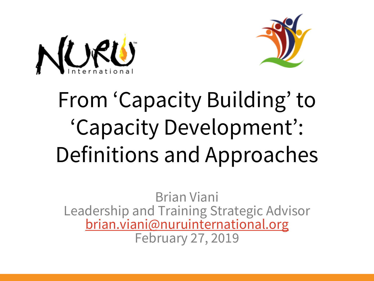



# From 'Capacity Building' to 'Capacity Development': Definitions and Approaches

Brian Viani Leadership and Training Strategic Advisor [brian.viani@nuruinternational.org](mailto:brian.viani@nuruinternational.org) February 27, 2019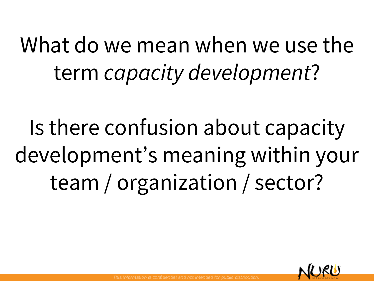What do we mean when we use the term *capacity development*?

Is there confusion about capacity development's meaning within your team / organization / sector?

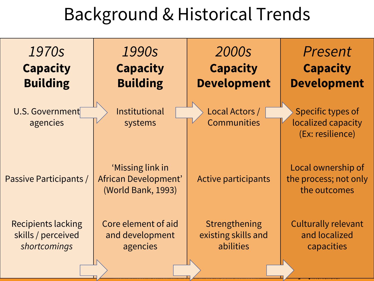### Background & Historical Trends

| 1970s                              | 1990s                                                          | 2000s                                | Present                                                     |
|------------------------------------|----------------------------------------------------------------|--------------------------------------|-------------------------------------------------------------|
| <b>Capacity</b>                    | <b>Capacity</b>                                                | <b>Capacity</b>                      | <b>Capacity</b>                                             |
| <b>Building</b>                    | <b>Building</b>                                                | <b>Development</b>                   | <b>Development</b>                                          |
| <b>U.S. Government</b><br>agencies | Institutional<br>systems                                       | Local Actors /<br><b>Communities</b> | Specific types of<br>localized capacity<br>(Ex: resilience) |
| Passive Participants /             | 'Missing link in<br>African Development'<br>(World Bank, 1993) | <b>Active participants</b>           | Local ownership of<br>the process; not only<br>the outcomes |
| <b>Recipients lacking</b>          | Core element of aid                                            | Strengthening                        | <b>Culturally relevant</b>                                  |
| skills / perceived                 | and development                                                | existing skills and                  | and localized                                               |
| shortcomings                       | agencies                                                       | abilities                            | capacities                                                  |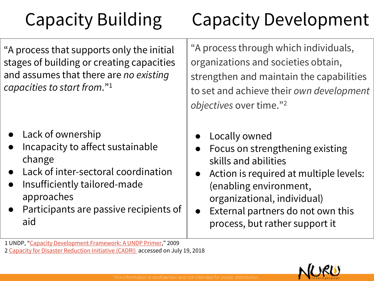# Capacity Building

# Capacity Development

"A process that supports only the initial stages of building or creating capacities and assumes that there are *no existing capacities to start from*."<sup>1</sup>

- Lack of ownership
- Incapacity to affect sustainable change
- Lack of inter-sectoral coordination
- Insufficiently tailored-made approaches
- Participants are passive recipients of aid

"A process through which individuals, organizations and societies obtain, strengthen and maintain the capabilities to set and achieve their *own development objectives* over time."<sup>2</sup>

- Locally owned
- Focus on strengthening existing skills and abilities
- Action is required at multiple levels: (enabling environment, organizational, individual)
- External partners do not own this process, but rather support it

2 [Capacity for Disaster Reduction Initiative \(CADRI\)](https://www.cadri.net/en/areas-we-work/capacity-development) accessed on July 19, 2018



<sup>1</sup> UNDP, "[Capacity Development Framework: A UNDP Primer](http://www.scor-int.org/SCOR_CB/CB-Bremen/UNDP_Frequently Asked Questions on Capacity Development June 2009_with bookmarks.pdf)," 2009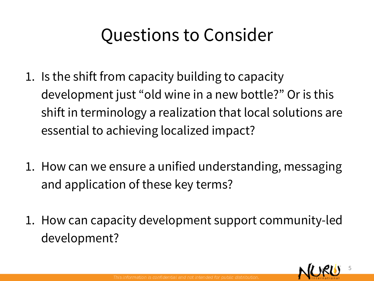#### Questions to Consider

- 1. Is the shift from capacity building to capacity development just "old wine in a new bottle?" Or is this shift in terminology a realization that local solutions are essential to achieving localized impact?
- 1. How can we ensure a unified understanding, messaging and application of these key terms?
- 1. How can capacity development support community-led development?

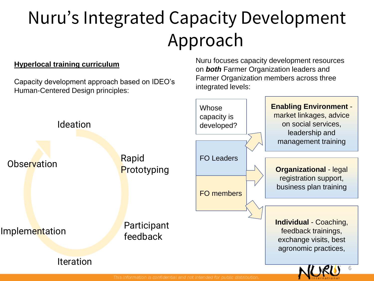# Nuru's Integrated Capacity Development Approach

#### **Hyperlocal training curriculum**

Capacity development approach based on IDEO's Human-Centered Design principles:

Nuru focuses capacity development resources on *both* Farmer Organization leaders and Farmer Organization members across three integrated levels:

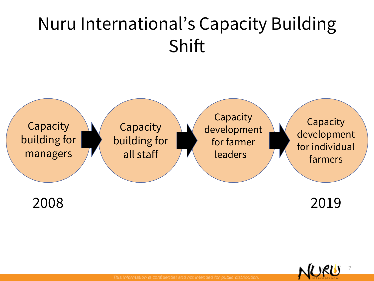# Nuru International's Capacity Building Shift



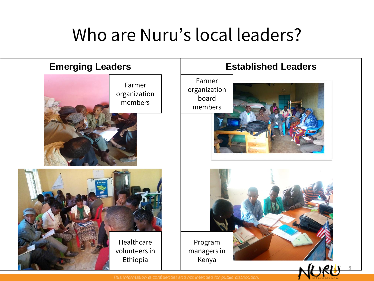#### Who are Nuru's local leaders?